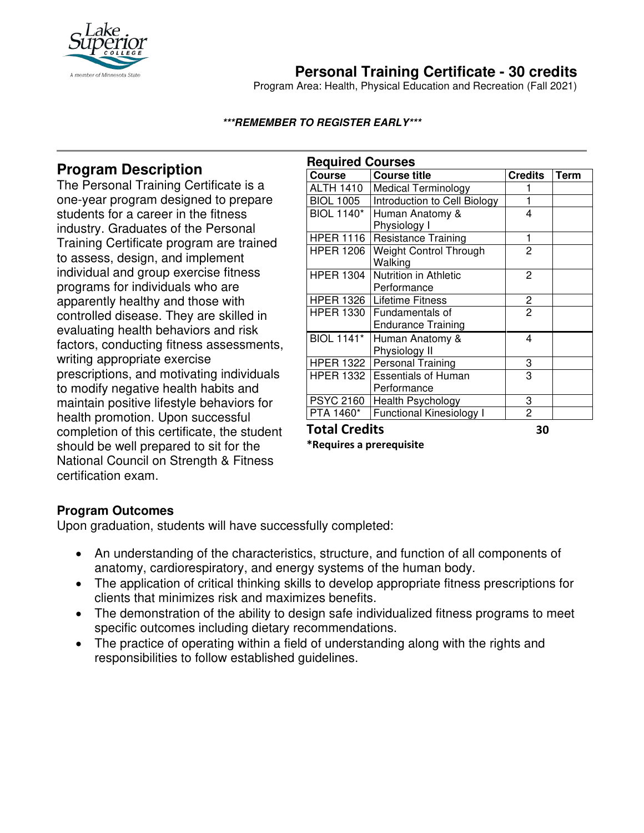

# **Personal Training Certificate - 30 credits**

Program Area: Health, Physical Education and Recreation (Fall 2021)

### **\*\*\*REMEMBER TO REGISTER EARLY\*\*\***

### **Program Description**

The Personal Training Certificate is a one-year program designed to prepare students for a career in the fitness industry. Graduates of the Personal Training Certificate program are trained to assess, design, and implement individual and group exercise fitness programs for individuals who are apparently healthy and those with controlled disease. They are skilled in evaluating health behaviors and risk factors, conducting fitness assessments, writing appropriate exercise prescriptions, and motivating individuals to modify negative health habits and maintain positive lifestyle behaviors for health promotion. Upon successful completion of this certificate, the student should be well prepared to sit for the National Council on Strength & Fitness certification exam.

| <b>Required Courses</b> |                                 |                |             |
|-------------------------|---------------------------------|----------------|-------------|
| Course                  | <b>Course title</b>             | <b>Credits</b> | <b>Term</b> |
| <b>ALTH 1410</b>        | <b>Medical Terminology</b>      |                |             |
| <b>BIOL 1005</b>        | Introduction to Cell Biology    |                |             |
| <b>BIOL 1140*</b>       | Human Anatomy &                 | 4              |             |
|                         | Physiology I                    |                |             |
| <b>HPER 1116</b>        | <b>Resistance Training</b>      | 1              |             |
| <b>HPER 1206</b>        | Weight Control Through          | 2              |             |
|                         | Walking                         |                |             |
| <b>HPER 1304</b>        | Nutrition in Athletic           | 2              |             |
|                         | Performance                     |                |             |
|                         | HPER 1326   Lifetime Fitness    | 2              |             |
| <b>HPER 1330</b>        | Fundamentals of                 | $\overline{2}$ |             |
|                         | <b>Endurance Training</b>       |                |             |
| <b>BIOL 1141*</b>       | Human Anatomy &                 | 4              |             |
|                         | Physiology II                   |                |             |
| HPER 1322               | <b>Personal Training</b>        | 3              |             |
| <b>HPER 1332</b>        | <b>Essentials of Human</b>      | 3              |             |
|                         | Performance                     |                |             |
| <b>PSYC 2160</b>        | <b>Health Psychology</b>        | 3              |             |
| PTA 1460*               | <b>Functional Kinesiology I</b> | $\overline{c}$ |             |
| الفائلات<br>T-1-1 C     |                                 |                |             |

**Total Credits 30** 

**\*Requires a prerequisite** 

### **Program Outcomes**

Upon graduation, students will have successfully completed:

- An understanding of the characteristics, structure, and function of all components of anatomy, cardiorespiratory, and energy systems of the human body.
- The application of critical thinking skills to develop appropriate fitness prescriptions for clients that minimizes risk and maximizes benefits.
- The demonstration of the ability to design safe individualized fitness programs to meet specific outcomes including dietary recommendations.
- The practice of operating within a field of understanding along with the rights and responsibilities to follow established guidelines.